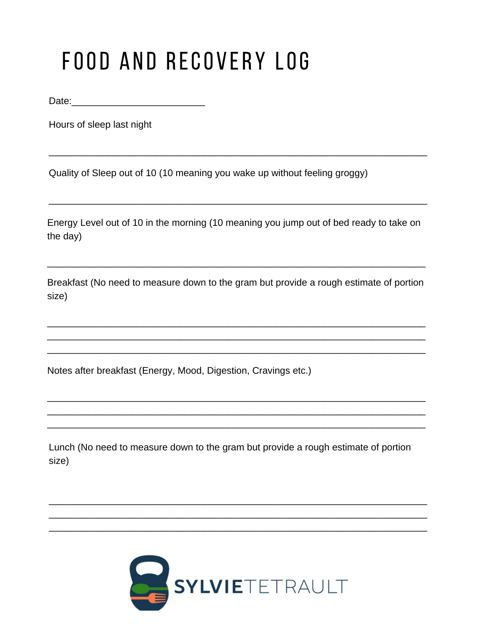## FOOD AND RECOVERY LOG

Hours of sleep last night

Quality of Sleep out of 10 (10 meaning you wake up without feeling groggy)

Energy Level out of 10 in the morning (10 meaning you jump out of bed ready to take on the day)

Breakfast (No need to measure down to the gram but provide a rough estimate of portion size)

Notes after breakfast (Energy, Mood, Digestion, Cravings etc.)

Lunch (No need to measure down to the gram but provide a rough estimate of portion size)

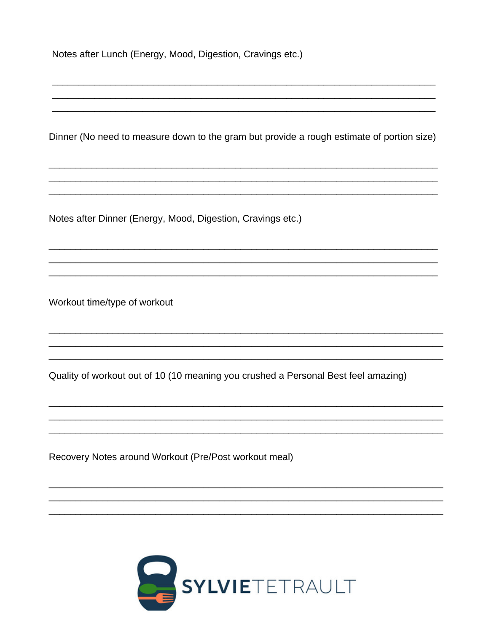| Notes after Lunch (Energy, Mood, Digestion, Cravings etc.) |  |  |  |  |  |
|------------------------------------------------------------|--|--|--|--|--|
|------------------------------------------------------------|--|--|--|--|--|

Dinner (No need to measure down to the gram but provide a rough estimate of portion size)

Notes after Dinner (Energy, Mood, Digestion, Cravings etc.)

Workout time/type of workout

Quality of workout out of 10 (10 meaning you crushed a Personal Best feel amazing)

Recovery Notes around Workout (Pre/Post workout meal)